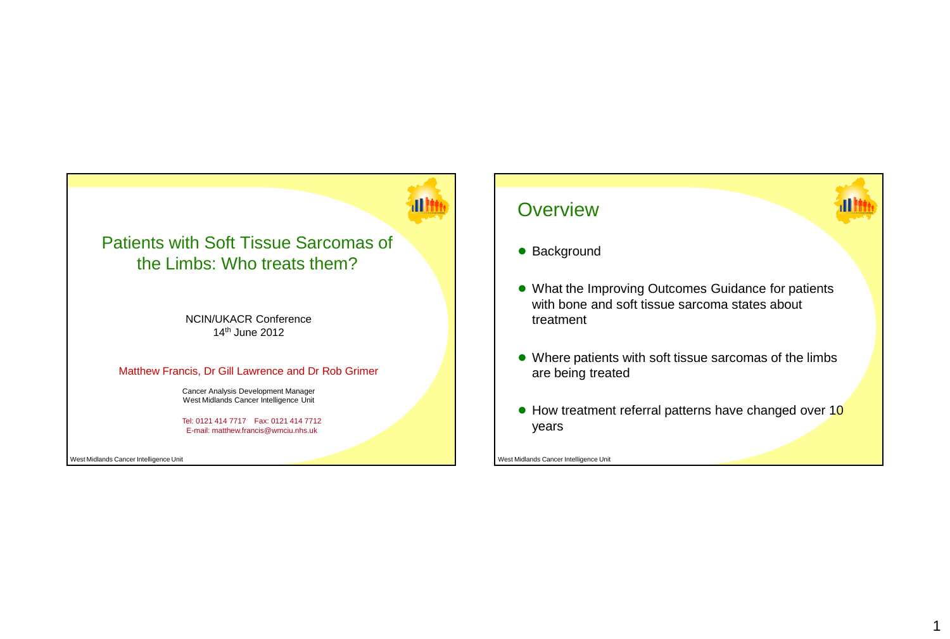## Patients with Soft Tissue Sarcomas of the Limbs: Who treats them?

NCIN/UKACR Conference 14th June 2012

### Matthew Francis, Dr Gill Lawrence and Dr Rob Grimer

Cancer Analysis Development Manager West Midlands Cancer Intelligence Unit

Tel: 0121 414 7717 Fax: 0121 414 7712 E-mail: matthew.francis@wmciu.nhs.uk

West Midlands Cancer Intelligence Unit

## **Overview**



## ● Background

- What the Improving Outcomes Guidance for patients with bone and soft tissue sarcoma states about treatment
- Where patients with soft tissue sarcomas of the limbs are being treated
- How treatment referral patterns have changed over 10 years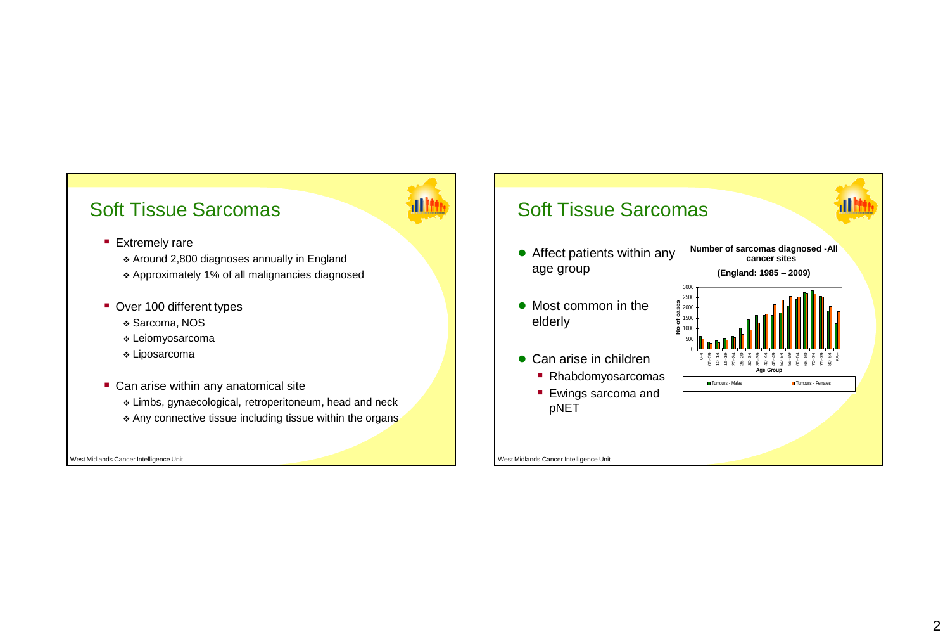## Soft Tissue Sarcomas

## **Extremely rare**

Around 2,800 diagnoses annually in England

- Approximately 1% of all malignancies diagnosed
- **Over 100 different types** 
	- Sarcoma, NOS
	- Leiomyosarcoma
	- Liposarcoma
- Can arise within any anatomical site
	- Limbs, gynaecological, retroperitoneum, head and neck
	- \* Any connective tissue including tissue within the organs

West Midlands Cancer Intelligence Unit

## Soft Tissue Sarcomas

- Affect patients within any age group
- Most common in the elderly
- Can arise in children
	- Rhabdomyosarcomas

> 0-4 05-09 10-14 15-19 20-24 25-29 30-34  $35-39$ <br> $35-49$ <br> $35-39$ 55-59 60-64 65-69 70-74 75-79 80-84 85+

**Age Group Tumours - Males** Tumours - Females

**Number of sarcomas diagnosed -All cancer sites (England: 1985 – 2009)**

**Ewings sarcoma and** pNET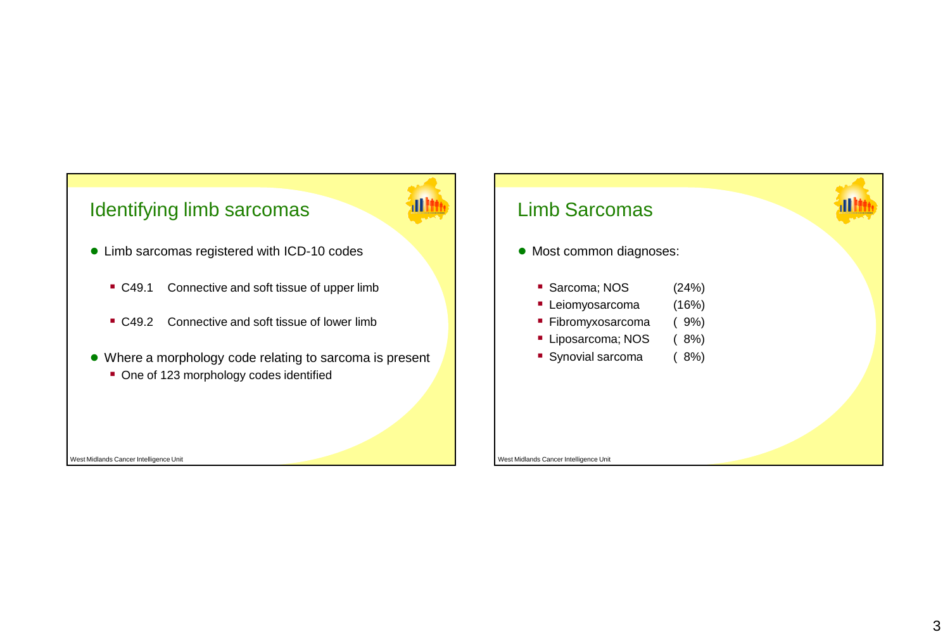# Identifying limb sarcomas

- Limb sarcomas registered with ICD-10 codes
	- C49.1 Connective and soft tissue of upper limb
	- C49.2 Connective and soft tissue of lower limb
- Where a morphology code relating to sarcoma is present
	- One of 123 morphology codes identified



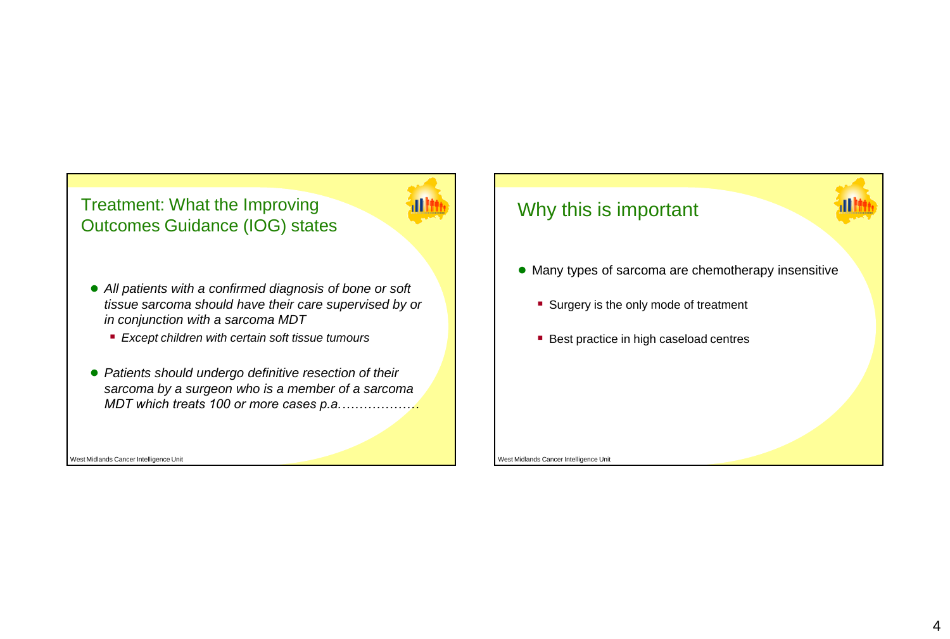## Treatment: What the Improving Outcomes Guidance (IOG) states

- *All patients with a confirmed diagnosis of bone or soft tissue sarcoma should have their care supervised by or in conjunction with a sarcoma MDT*
	- *Except children with certain soft tissue tumours*
- *Patients should undergo definitive resection of their sarcoma by a surgeon who is a member of a sarcoma MDT which treats 100 or more cases p.a.………………*

West Midlands Cancer Intelligence Unit

## Why this is important

- Many types of sarcoma are chemotherapy insensitive
	- Surgery is the only mode of treatment
	- **Best practice in high caseload centres**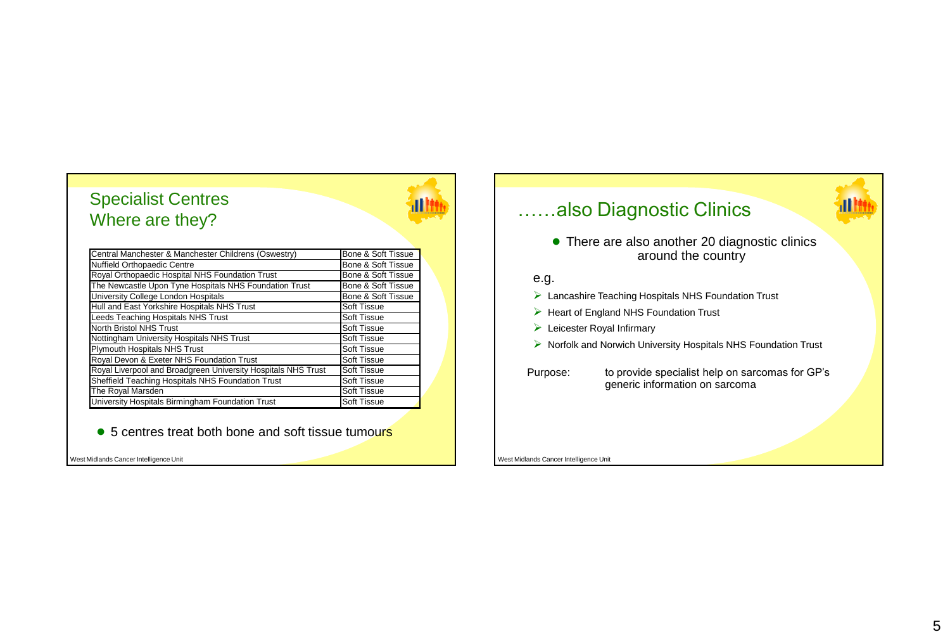## Specialist Centres Where are they?

| Central Manchester & Manchester Childrens (Oswestry)          | Bone & Soft Tissue |
|---------------------------------------------------------------|--------------------|
| Nuffield Orthopaedic Centre                                   | Bone & Soft Tissue |
| Royal Orthopaedic Hospital NHS Foundation Trust               | Bone & Soft Tissue |
| The Newcastle Upon Tyne Hospitals NHS Foundation Trust        | Bone & Soft Tissue |
| University College London Hospitals                           | Bone & Soft Tissue |
| Hull and East Yorkshire Hospitals NHS Trust                   | Soft Tissue        |
| Leeds Teaching Hospitals NHS Trust                            | <b>Soft Tissue</b> |
| <b>North Bristol NHS Trust</b>                                | Soft Tissue        |
| Nottingham University Hospitals NHS Trust                     | <b>Soft Tissue</b> |
| Plymouth Hospitals NHS Trust                                  | <b>Soft Tissue</b> |
| Royal Devon & Exeter NHS Foundation Trust                     | Soft Tissue        |
| Royal Liverpool and Broadgreen University Hospitals NHS Trust | <b>Soft Tissue</b> |
| Sheffield Teaching Hospitals NHS Foundation Trust             | <b>Soft Tissue</b> |
| The Royal Marsden                                             | <b>Soft Tissue</b> |
| University Hospitals Birmingham Foundation Trust              | <b>Soft Tissue</b> |

● 5 centres treat both bone and soft tissue tumours

West Midlands Cancer Intelligence Unit

# ……also Diagnostic Clinics

● There are also another 20 diagnostic clinics around the country

## e.g.

- Lancashire Teaching Hospitals NHS Foundation Trust
- $\triangleright$  Heart of England NHS Foundation Trust
- Eleicester Royal Infirmary
- $\triangleright$  Norfolk and Norwich University Hospitals NHS Foundation Trust
- Purpose: to provide specialist help on sarcomas for GP's generic information on sarcoma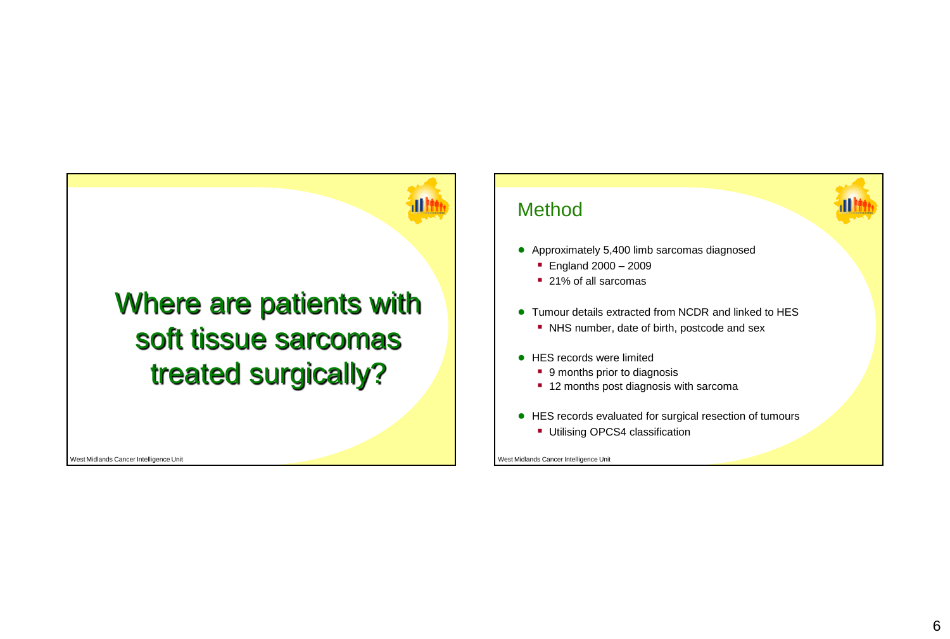# Where are patients with soft tissue sarcomas treated surgically?

West Midlands Cancer Intelligence Unit

# Method ● Approximately 5,400 limb sarcomas diagnosed **England 2000 - 2009** ■ 21% of all sarcomas ● Tumour details extracted from NCDR and linked to HES • NHS number, date of birth, postcode and sex ● HES records were limited ■ 9 months prior to diagnosis ■ 12 months post diagnosis with sarcoma ● HES records evaluated for surgical resection of tumours **Utilising OPCS4 classification**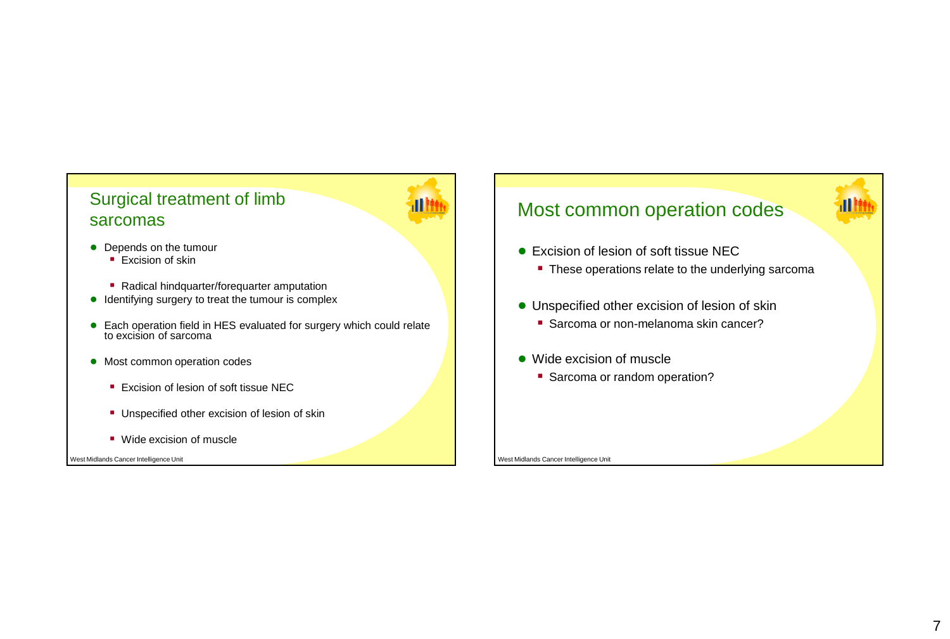## Surgical treatment of limb sarcomas



- Depends on the tumour
	- $\overline{\phantom{a}}$  Excision of skin
	- Radical hindquarter/forequarter amputation
- Identifying surgery to treat the tumour is complex
- Each operation field in HES evaluated for surgery which could relate to excision of sarcoma
- Most common operation codes
	- **Excision of lesion of soft tissue NEC**
	- **Unspecified other excision of lesion of skin**
	- **Wide excision of muscle**

West Midlands Cancer Intelligence Unit

# Most common operation codes

- Excision of lesion of soft tissue NEC
	- These operations relate to the underlying sarcoma
- Unspecified other excision of lesion of skin
	- Sarcoma or non-melanoma skin cancer?
- Wide excision of muscle
	- **Sarcoma or random operation?**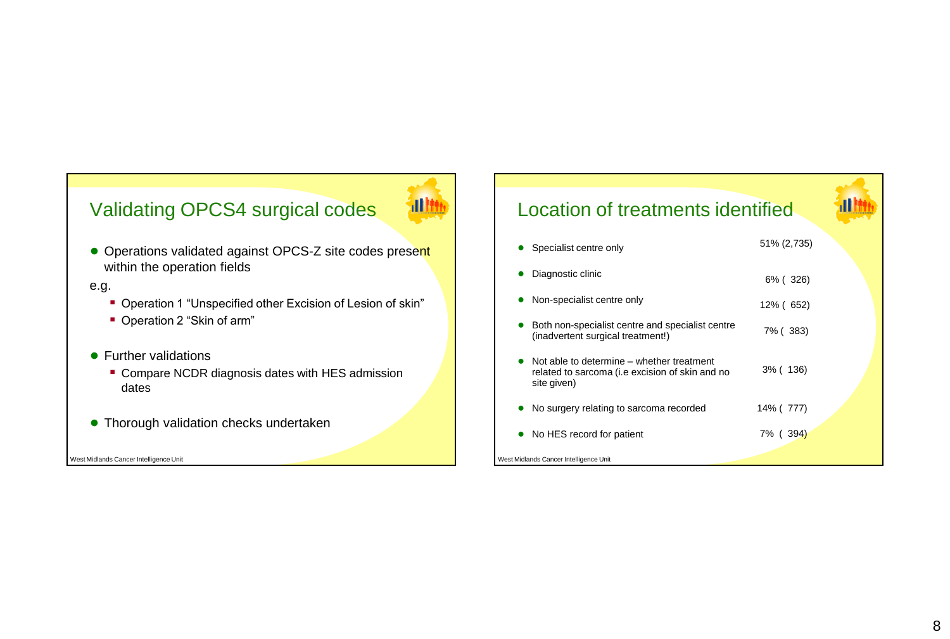# Validating OPCS4 surgical codes



● Operations validated against OPCS-Z site codes present within the operation fields

## e.g.

- Operation 1 "Unspecified other Excision of Lesion of skin"
- Operation 2 "Skin of arm"
- Further validations
	- **Compare NCDR diagnosis dates with HES admission** dates
- Thorough validation checks undertaken

West Midlands Cancer Intelligence Unit

# Location of treatments identified

| Specialist centre only                                                                                      | 51% (2,735) |  |
|-------------------------------------------------------------------------------------------------------------|-------------|--|
| Diagnostic clinic                                                                                           | 6% (326)    |  |
| Non-specialist centre only                                                                                  | 12% (652)   |  |
| Both non-specialist centre and specialist centre<br>(inadvertent surgical treatment!)                       | 7% (383)    |  |
| Not able to determine – whether treatment<br>related to sarcoma (i.e excision of skin and no<br>site given) | 3% (136)    |  |
| No surgery relating to sarcoma recorded                                                                     | 14% (777)   |  |
| No HES record for patient                                                                                   | 7% (394)    |  |
| West Midlands Cancer Intelligence Unit                                                                      |             |  |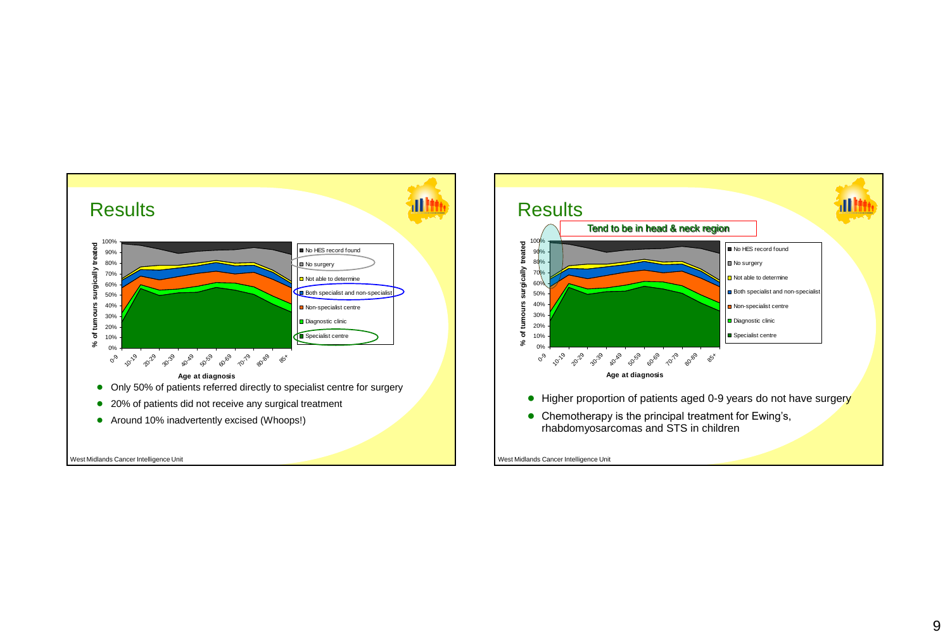

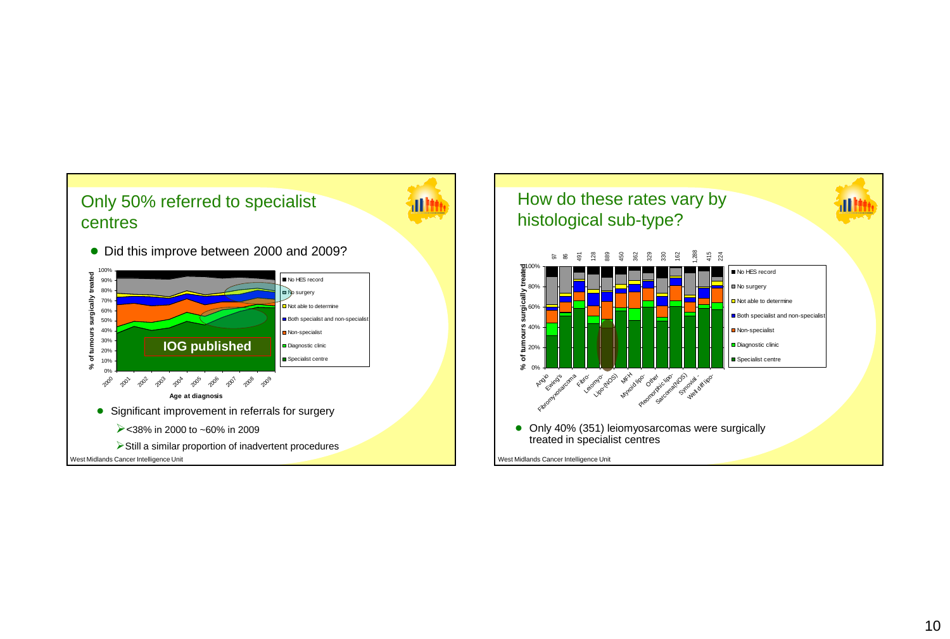

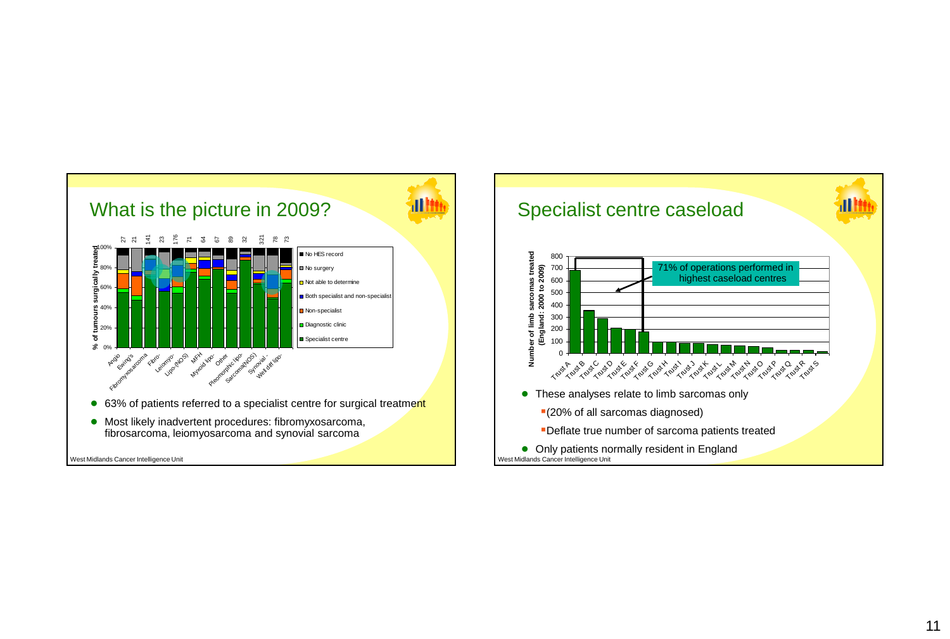

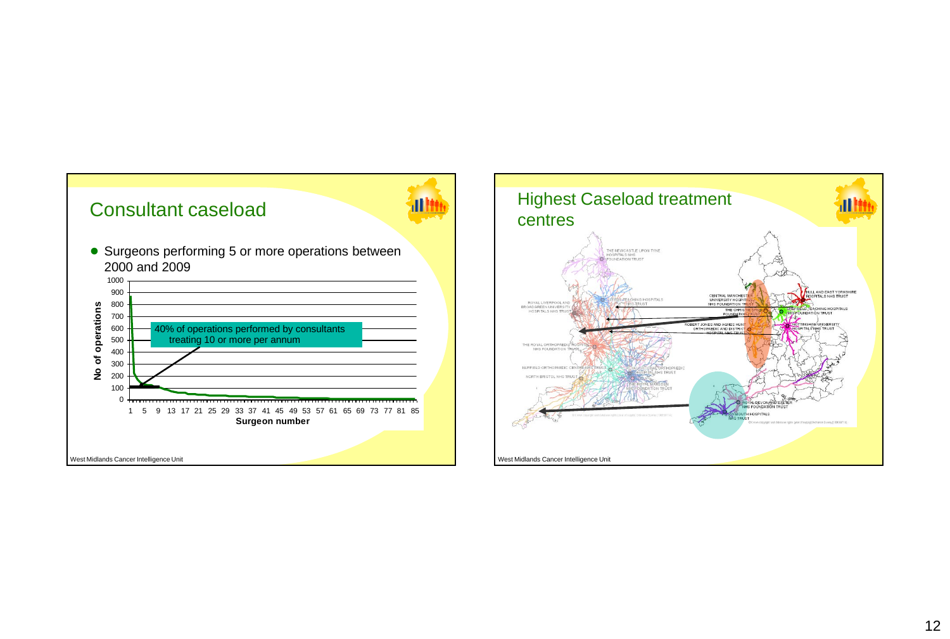

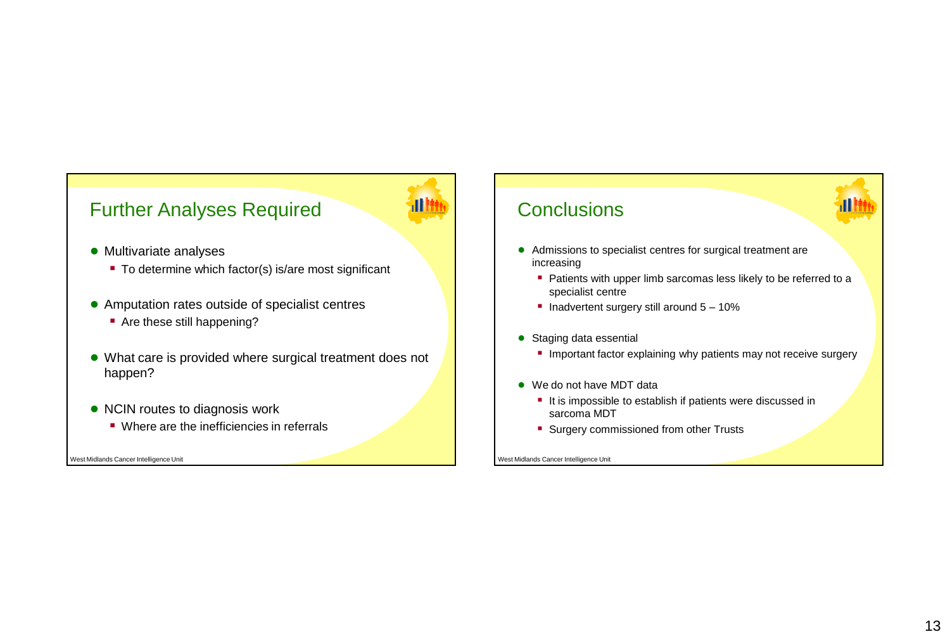## Further Analyses Required

- Multivariate analyses
	- To determine which factor(s) is/are most significant
- Amputation rates outside of specialist centres
	- Are these still happening?
- What care is provided where surgical treatment does not happen?
- NCIN routes to diagnosis work
	- Where are the inefficiencies in referrals

West Midlands Cancer Intelligence Unit

## **Conclusions**

- Admissions to specialist centres for surgical treatment are increasing
	- **Patients with upper limb sarcomas less likely to be referred to a** specialist centre
	- Inadvertent surgery still around  $5 10\%$
- Staging data essential
	- **Important factor explaining why patients may not receive surgery**
- We do not have MDT data
	- It is impossible to establish if patients were discussed in sarcoma MDT
	- Surgery commissioned from other Trusts